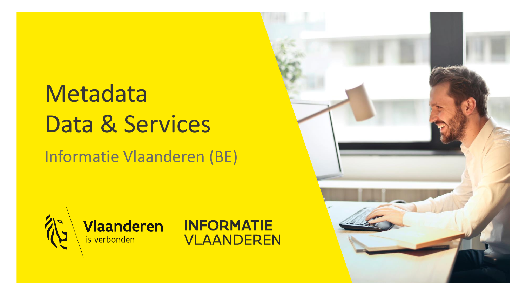# Metadata Data & Services

### Informatie Vlaanderen (BE)





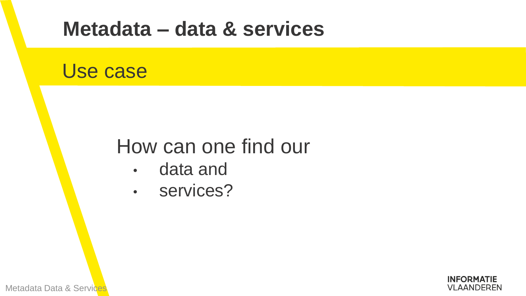### **Metadata – data & services**

### Use case

### How can one find our

- data and
- services?

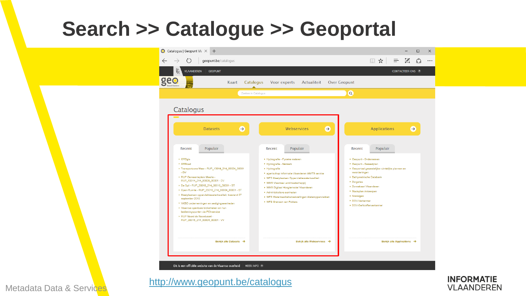

<http://www.geopunt.be/catalogus>

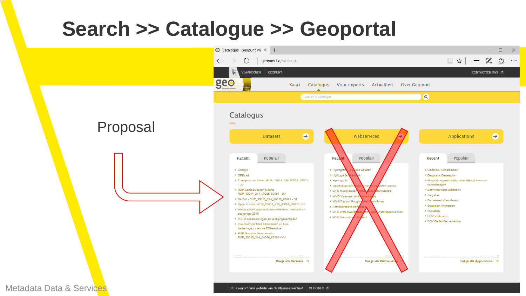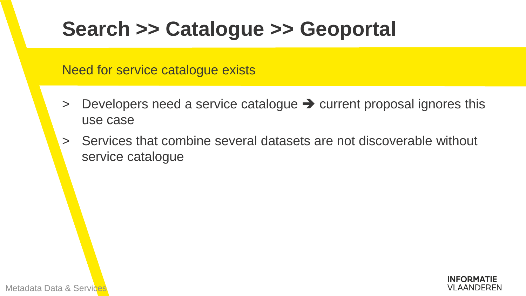Need for service catalogue exists

- $>$  Developers need a service catalogue  $\rightarrow$  current proposal ignores this use case
- > Services that combine several datasets are not discoverable without service catalogue

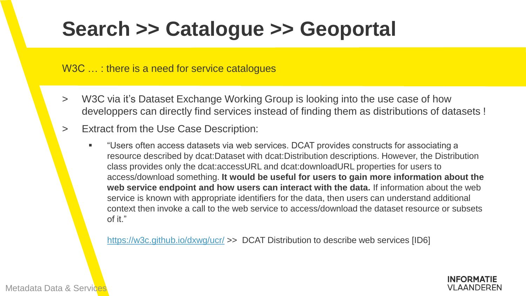#### W3C ...: there is a need for service catalogues

- W3C via it's Dataset Exchange Working Group is looking into the use case of how developpers can directly find services instead of finding them as distributions of datasets !
- > Extract from the Use Case Description:
	- "Users often access datasets via web services. DCAT provides constructs for associating a resource described by dcat:Dataset with dcat:Distribution descriptions. However, the Distribution class provides only the dcat:accessURL and dcat:downloadURL properties for users to access/download something. **It would be useful for users to gain more information about the web service endpoint and how users can interact with the data.** If information about the web service is known with appropriate identifiers for the data, then users can understand additional context then invoke a call to the web service to access/download the dataset resource or subsets of it."

<https://w3c.github.io/dxwg/ucr/> >> DCAT Distribution to describe web services [ID6]

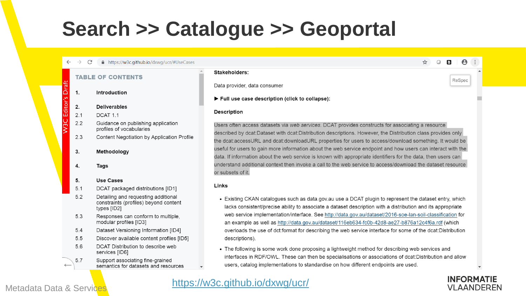

#### **INFORMATIE VLAANDEREN**

☆ ○ ■

 $\theta$ 

ReSpec

#### Metadata Data & Services

#### <https://w3c.github.io/dxwg/ucr/>

#### lacks consistent/precise ability to associate a dataset description with a distribution and its appropriate web service implementation/interface. See http://data.gov.au/dataset/2016-soe-lan-soil-classification for an example as well as http://data.gov.au/dataset/116eb634-fc0b-42d8-ae27-b876a12c4f6a.rdf (which overloads the use of dct:format for describing the web service interface for some of the dcat:Distribution

data. If information about the web service is known with appropriate identifiers for the data, then users can understand additional context then invoke a call to the web service to access/download the dataset resource • Existing CKAN catalogues such as data.gov.au use a DCAT plugin to represent the dataset entry, which

Users often access datasets via web services. DCAT provides constructs for associating a resource described by dcat:Dataset with dcat:Distribution descriptions. However, the Distribution class provides only the dcat:accessURL and dcat:downloadURL properties for users to access/download something. It would be useful for users to gain more information about the web service endpoint and how users can interact with the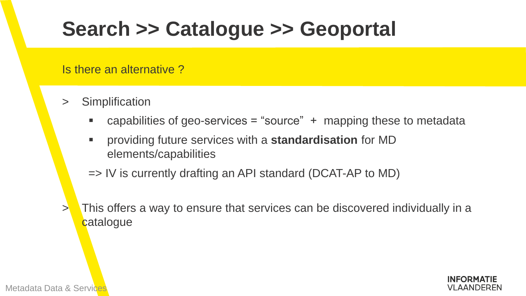Is there an alternative ?

- **Simplification** 
	- capabilities of geo-services = "source"  $+$  mapping these to metadata
	- providing future services with a **standardisation** for MD elements/capabilities
	- => IV is currently drafting an API standard (DCAT-AP to MD)
- > This offers a way to ensure that services can be discovered individually in a catalogue

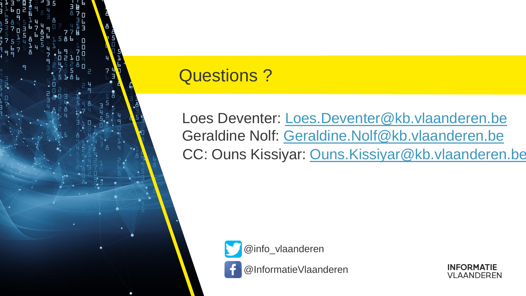

### Questions ?

Loes Deventer: [Loes.Deventer@kb.vlaanderen.be](mailto:Loes.Deventer@kb.vlaanderen.be) Geraldine Nolf: [Geraldine.Nolf@kb.vlaanderen.be](mailto:Geraldine.Nolf@kb.vlaanderen.be) CC: Ouns Kissiyar: [Ouns.Kissiyar@kb.vlaanderen.be](mailto:Ouns.Kissiyar@kb.vlaanderen.be)



@InformatieVlaanderen